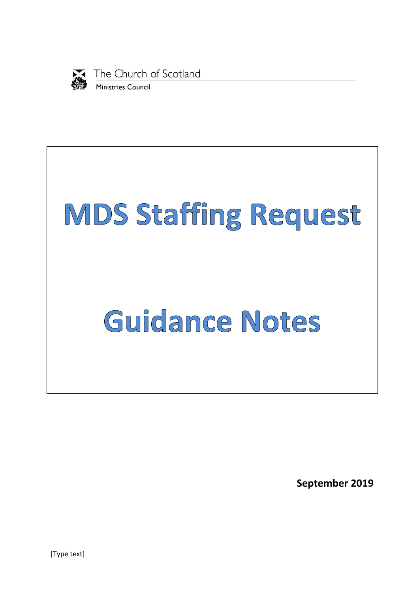

The Church of Scotland Ministries Council



**September 2019**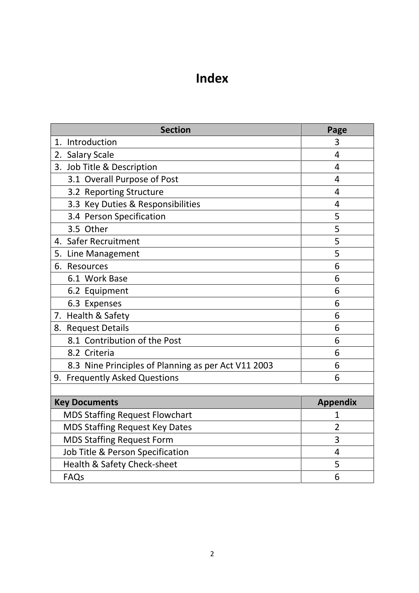# **Index**

| <b>Section</b>                                      | Page            |
|-----------------------------------------------------|-----------------|
| Introduction<br>1.                                  | 3               |
| 2. Salary Scale                                     | 4               |
| 3. Job Title & Description                          | 4               |
| 3.1 Overall Purpose of Post                         | 4               |
| 3.2 Reporting Structure                             | 4               |
| 3.3 Key Duties & Responsibilities                   | 4               |
| 3.4 Person Specification                            | 5               |
| 3.5 Other                                           | 5               |
| 4. Safer Recruitment                                | 5               |
| 5.<br>Line Management                               | 5               |
| 6. Resources                                        | 6               |
| 6.1 Work Base                                       | 6               |
| 6.2 Equipment                                       | 6               |
| 6.3 Expenses                                        | 6               |
| 7. Health & Safety                                  | 6               |
| 8. Request Details                                  | 6               |
| 8.1 Contribution of the Post                        | 6               |
| 8.2 Criteria                                        | 6               |
| 8.3 Nine Principles of Planning as per Act V11 2003 | 6               |
| 9. Frequently Asked Questions                       | 6               |
|                                                     |                 |
| <b>Key Documents</b>                                | <b>Appendix</b> |
| <b>MDS Staffing Request Flowchart</b>               | 1               |
| <b>MDS Staffing Request Key Dates</b>               | $\overline{2}$  |
| <b>MDS Staffing Request Form</b>                    | 3               |
| Job Title & Person Specification                    | $\overline{4}$  |
| Health & Safety Check-sheet                         | 5               |
| <b>FAQs</b>                                         | 6               |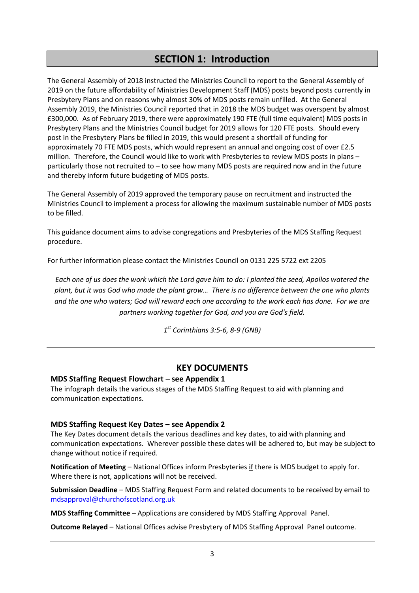# **SECTION 1: Introduction**

The General Assembly of 2018 instructed the Ministries Council to report to the General Assembly of 2019 on the future affordability of Ministries Development Staff (MDS) posts beyond posts currently in Presbytery Plans and on reasons why almost 30% of MDS posts remain unfilled. At the General Assembly 2019, the Ministries Council reported that in 2018 the MDS budget was overspent by almost £300,000. As of February 2019, there were approximately 190 FTE (full time equivalent) MDS posts in Presbytery Plans and the Ministries Council budget for 2019 allows for 120 FTE posts. Should every post in the Presbytery Plans be filled in 2019, this would present a shortfall of funding for approximately 70 FTE MDS posts, which would represent an annual and ongoing cost of over £2.5 million. Therefore, the Council would like to work with Presbyteries to review MDS posts in plans – particularly those not recruited to – to see how many MDS posts are required now and in the future and thereby inform future budgeting of MDS posts.

The General Assembly of 2019 approved the temporary pause on recruitment and instructed the Ministries Council to implement a process for allowing the maximum sustainable number of MDS posts to be filled.

This guidance document aims to advise congregations and Presbyteries of the MDS Staffing Request procedure.

For further information please contact the Ministries Council on 0131 225 5722 ext 2205

*Each one of us does the work which the Lord gave him to do: I planted the seed, Apollos watered the plant, but it was God who made the plant grow… There is no difference between the one who plants and the one who waters; God will reward each one according to the work each has done. For we are partners working together for God, and you are God's field.*

*1 st Corinthians 3:5-6, 8-9 (GNB)*

#### **KEY DOCUMENTS**

#### **MDS Staffing Request Flowchart – see Appendix 1**

The infograph details the various stages of the MDS Staffing Request to aid with planning and communication expectations.

#### **MDS Staffing Request Key Dates – see Appendix 2**

The Key Dates document details the various deadlines and key dates, to aid with planning and communication expectations. Wherever possible these dates will be adhered to, but may be subject to change without notice if required.

**Notification of Meeting** – National Offices inform Presbyteries if there is MDS budget to apply for. Where there is not, applications will not be received.

**Submission Deadline** – MDS Staffing Request Form and related documents to be received by email to [mdsapproval@churchofscotland.org.uk](mailto:mdsapproval@churchofscotland.org.uk)

**MDS Staffing Committee** – Applications are considered by MDS Staffing Approval Panel.

**Outcome Relayed** – National Offices advise Presbytery of MDS Staffing Approval Panel outcome.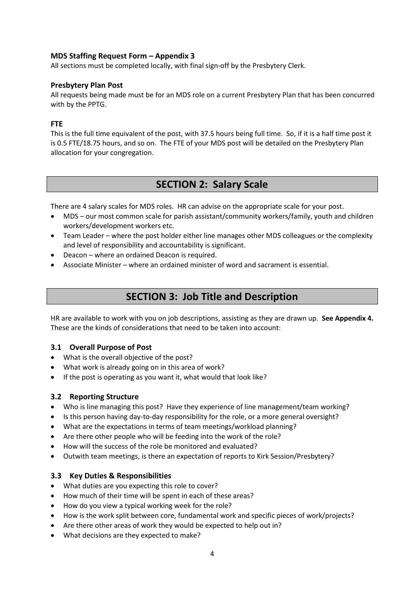#### **MDS Staffing Request Form – Appendix 3**

All sections must be completed locally, with final sign-off by the Presbytery Clerk.

#### **Presbytery Plan Post**

All requests being made must be for an MDS role on a current Presbytery Plan that has been concurred with by the PPTG.

#### **FTE**

This is the full time equivalent of the post, with 37.5 hours being full time. So, if it is a half time post it is 0.5 FTE/18.75 hours, and so on. The FTE of your MDS post will be detailed on the Presbytery Plan allocation for your congregation.

# **SECTION 2: Salary Scale**

There are 4 salary scales for MDS roles. HR can advise on the appropriate scale for your post.

- MDS our most common scale for parish assistant/community workers/family, youth and children workers/development workers etc.
- Team Leader where the post holder either line manages other MDS colleagues or the complexity and level of responsibility and accountability is significant.
- Deacon where an ordained Deacon is required.
- Associate Minister where an ordained minister of word and sacrament is essential.

# **SECTION 3: Job Title and Description**

HR are available to work with you on job descriptions, assisting as they are drawn up. **See Appendix 4.** These are the kinds of considerations that need to be taken into account:

#### **3.1 Overall Purpose of Post**

- What is the overall objective of the post?
- What work is already going on in this area of work?
- If the post is operating as you want it, what would that look like?

#### **3.2 Reporting Structure**

- Who is line managing this post? Have they experience of line management/team working?
- Is this person having day-to-day responsibility for the role, or a more general oversight?
- What are the expectations in terms of team meetings/workload planning?
- Are there other people who will be feeding into the work of the role?
- How will the success of the role be monitored and evaluated?
- Outwith team meetings, is there an expectation of reports to Kirk Session/Presbytery?

#### **3.3 Key Duties & Responsibilities**

- What duties are you expecting this role to cover?
- How much of their time will be spent in each of these areas?
- How do you view a typical working week for the role?
- How is the work split between core, fundamental work and specific pieces of work/projects?
- Are there other areas of work they would be expected to help out in?
- What decisions are they expected to make?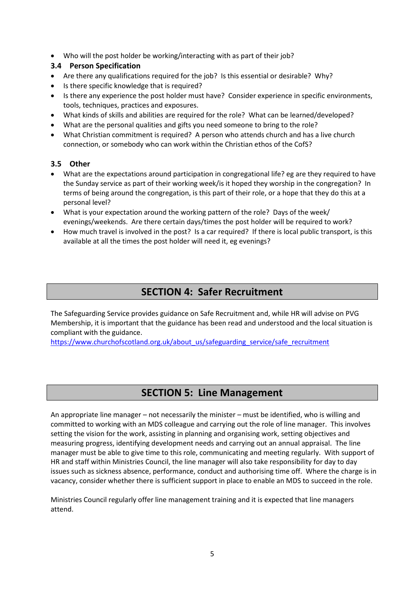Who will the post holder be working/interacting with as part of their job?

#### **3.4 Person Specification**

- Are there any qualifications required for the job? Is this essential or desirable? Why?
- Is there specific knowledge that is required?
- Is there any experience the post holder must have? Consider experience in specific environments, tools, techniques, practices and exposures.
- What kinds of skills and abilities are required for the role? What can be learned/developed?
- What are the personal qualities and gifts you need someone to bring to the role?
- What Christian commitment is required? A person who attends church and has a live church connection, or somebody who can work within the Christian ethos of the CofS?

#### **3.5 Other**

- What are the expectations around participation in congregational life? eg are they required to have the Sunday service as part of their working week/is it hoped they worship in the congregation? In terms of being around the congregation, is this part of their role, or a hope that they do this at a personal level?
- What is your expectation around the working pattern of the role? Days of the week/ evenings/weekends. Are there certain days/times the post holder will be required to work?
- How much travel is involved in the post? Is a car required? If there is local public transport, is this available at all the times the post holder will need it, eg evenings?

# **SECTION 4: Safer Recruitment**

The Safeguarding Service provides guidance on Safe Recruitment and, while HR will advise on PVG Membership, it is important that the guidance has been read and understood and the local situation is compliant with the guidance.

[https://www.churchofscotland.org.uk/about\\_us/safeguarding\\_service/safe\\_recruitment](https://www.churchofscotland.org.uk/about_us/safeguarding_service/safe_recruitment)

## **SECTION 5: Line Management**

An appropriate line manager – not necessarily the minister – must be identified, who is willing and committed to working with an MDS colleague and carrying out the role of line manager. This involves setting the vision for the work, assisting in planning and organising work, setting objectives and measuring progress, identifying development needs and carrying out an annual appraisal. The line manager must be able to give time to this role, communicating and meeting regularly. With support of HR and staff within Ministries Council, the line manager will also take responsibility for day to day issues such as sickness absence, performance, conduct and authorising time off. Where the charge is in vacancy, consider whether there is sufficient support in place to enable an MDS to succeed in the role.

Ministries Council regularly offer line management training and it is expected that line managers attend.